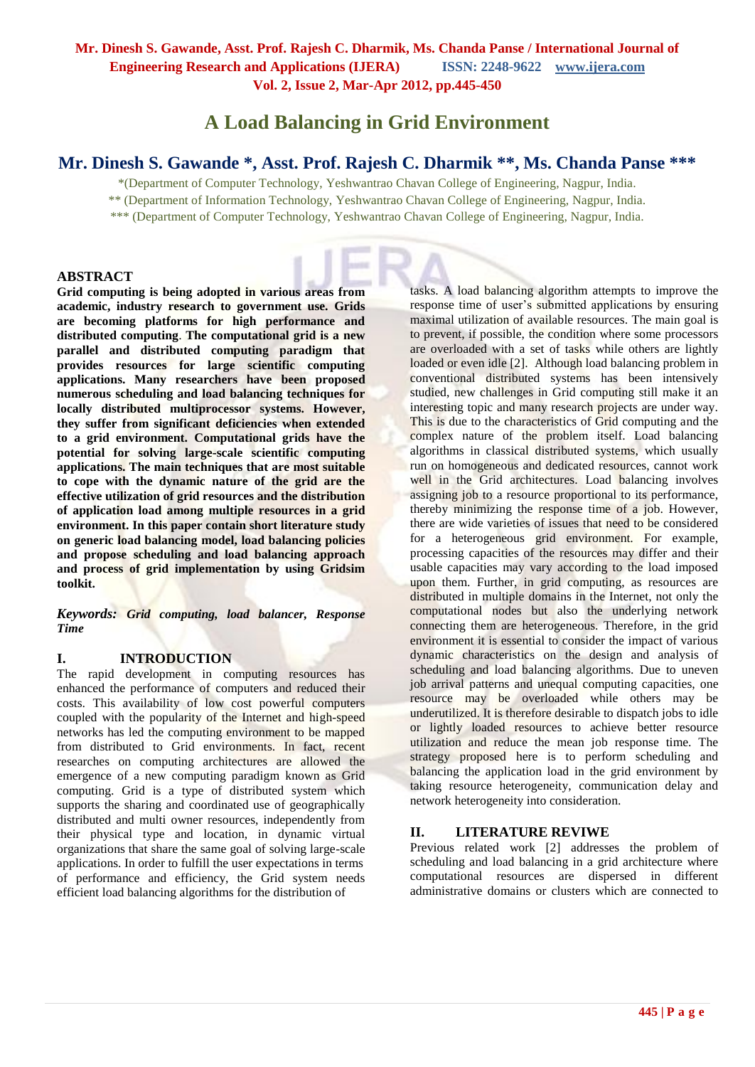# **A Load Balancing in Grid Environment**

# **Mr. Dinesh S. Gawande \*, Asst. Prof. Rajesh C. Dharmik \*\*, Ms. Chanda Panse \*\*\***

\*(Department of Computer Technology, Yeshwantrao Chavan College of Engineering, Nagpur, India.

\*\* (Department of Information Technology, Yeshwantrao Chavan College of Engineering, Nagpur, India.

\*\*\* (Department of Computer Technology, Yeshwantrao Chavan College of Engineering, Nagpur, India.

### **ABSTRACT**

**Grid computing is being adopted in various areas from academic, industry research to government use. Grids are becoming platforms for high performance and distributed computing**. **The computational grid is a new parallel and distributed computing paradigm that provides resources for large scientific computing applications. Many researchers have been proposed numerous scheduling and load balancing techniques for locally distributed multiprocessor systems. However, they suffer from significant deficiencies when extended to a grid environment. Computational grids have the potential for solving large-scale scientific computing applications. The main techniques that are most suitable to cope with the dynamic nature of the grid are the effective utilization of grid resources and the distribution of application load among multiple resources in a grid environment. In this paper contain short literature study on generic load balancing model, load balancing policies and propose scheduling and load balancing approach and process of grid implementation by using Gridsim toolkit.**

*Keywords: Grid computing, load balancer, Response Time*

#### **I. INTRODUCTION**

The rapid development in computing resources has enhanced the performance of computers and reduced their costs. This availability of low cost powerful computers coupled with the popularity of the Internet and high-speed networks has led the computing environment to be mapped from distributed to Grid environments. In fact, recent researches on computing architectures are allowed the emergence of a new computing paradigm known as Grid computing. Grid is a type of distributed system which supports the sharing and coordinated use of geographically distributed and multi owner resources, independently from their physical type and location, in dynamic virtual organizations that share the same goal of solving large-scale applications. In order to fulfill the user expectations in terms of performance and efficiency, the Grid system needs efficient load balancing algorithms for the distribution of

tasks. A load balancing algorithm attempts to improve the response time of user's submitted applications by ensuring maximal utilization of available resources. The main goal is to prevent, if possible, the condition where some processors are overloaded with a set of tasks while others are lightly loaded or even idle [2]. Although load balancing problem in conventional distributed systems has been intensively studied, new challenges in Grid computing still make it an interesting topic and many research projects are under way. This is due to the characteristics of Grid computing and the complex nature of the problem itself. Load balancing algorithms in classical distributed systems, which usually run on homogeneous and dedicated resources, cannot work well in the Grid architectures. Load balancing involves assigning job to a resource proportional to its performance. thereby minimizing the response time of a job. However, there are wide varieties of issues that need to be considered for a heterogeneous grid environment. For example, processing capacities of the resources may differ and their usable capacities may vary according to the load imposed upon them. Further, in grid computing, as resources are distributed in multiple domains in the Internet, not only the computational nodes but also the underlying network connecting them are heterogeneous. Therefore, in the grid environment it is essential to consider the impact of various dynamic characteristics on the design and analysis of scheduling and load balancing algorithms. Due to uneven job arrival patterns and unequal computing capacities, one resource may be overloaded while others may be underutilized. It is therefore desirable to dispatch jobs to idle or lightly loaded resources to achieve better resource utilization and reduce the mean job response time. The strategy proposed here is to perform scheduling and balancing the application load in the grid environment by taking resource heterogeneity, communication delay and network heterogeneity into consideration.

### **II. LITERATURE REVIWE**

Previous related work [2] addresses the problem of scheduling and load balancing in a grid architecture where computational resources are dispersed in different administrative domains or clusters which are connected to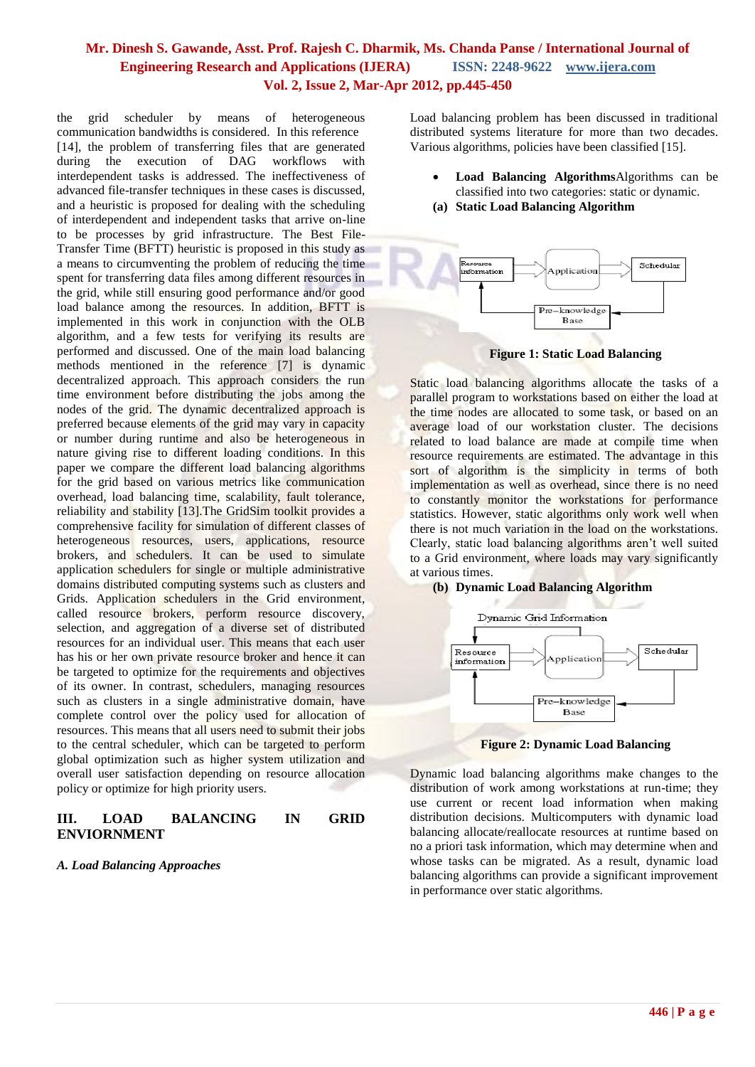the grid scheduler by means of heterogeneous communication bandwidths is considered. In this reference [14], the problem of transferring files that are generated during the execution of DAG workflows with interdependent tasks is addressed. The ineffectiveness of advanced file-transfer techniques in these cases is discussed, and a heuristic is proposed for dealing with the scheduling of interdependent and independent tasks that arrive on-line to be processes by grid infrastructure. The Best File-Transfer Time (BFTT) heuristic is proposed in this study as a means to circumventing the problem of reducing the time spent for transferring data files among different resources in the grid, while still ensuring good performance and/or good load balance among the resources. In addition, BFTT is implemented in this work in conjunction with the OLB algorithm, and a few tests for verifying its results are performed and discussed. One of the main load balancing methods mentioned in the reference [7] is dynamic decentralized approach. This approach considers the run time environment before distributing the jobs among the nodes of the grid. The dynamic decentralized approach is preferred because elements of the grid may vary in capacity or number during runtime and also be heterogeneous in nature giving rise to different loading conditions. In this paper we compare the different load balancing algorithms for the grid based on various metrics like communication overhead, load balancing time, scalability, fault tolerance, reliability and stability [13].The GridSim toolkit provides a comprehensive facility for simulation of different classes of heterogeneous resources, users, applications, resource brokers, and schedulers. It can be used to simulate application schedulers for single or multiple administrative domains distributed computing systems such as clusters and Grids. Application schedulers in the Grid environment, called resource brokers, perform resource discovery, selection, and aggregation of a diverse set of distributed resources for an individual user. This means that each user has his or her own private resource broker and hence it can be targeted to optimize for the requirements and objectives of its owner. In contrast, schedulers, managing resources such as clusters in a single administrative domain, have complete control over the policy used for allocation of resources. This means that all users need to submit their jobs to the central scheduler, which can be targeted to perform global optimization such as higher system utilization and overall user satisfaction depending on resource allocation policy or optimize for high priority users.

### **III. LOAD BALANCING IN GRID ENVIORNMENT**

*A. Load Balancing Approaches*

Load balancing problem has been discussed in traditional distributed systems literature for more than two decades. Various algorithms, policies have been classified [15].

- **Load Balancing Algorithms**Algorithms can be classified into two categories: static or dynamic.
- **(a) Static Load Balancing Algorithm**



**Figure 1: Static Load Balancing**

Static load balancing algorithms allocate the tasks of a parallel program to workstations based on either the load at the time nodes are allocated to some task, or based on an average load of our workstation cluster. The decisions related to load balance are made at compile time when resource requirements are estimated. The advantage in this sort of algorithm is the simplicity in terms of both implementation as well as overhead, since there is no need to constantly monitor the workstations for performance statistics. However, static algorithms only work well when there is not much variation in the load on the workstations. Clearly, static load balancing algorithms aren't well suited to a Grid environment, where loads may vary significantly at various times.

#### **(b) Dynamic Load Balancing Algorithm**



**Figure 2: Dynamic Load Balancing**

Dynamic load balancing algorithms make changes to the distribution of work among workstations at run-time; they use current or recent load information when making distribution decisions. Multicomputers with dynamic load balancing allocate/reallocate resources at runtime based on no a priori task information, which may determine when and whose tasks can be migrated. As a result, dynamic load balancing algorithms can provide a significant improvement in performance over static algorithms.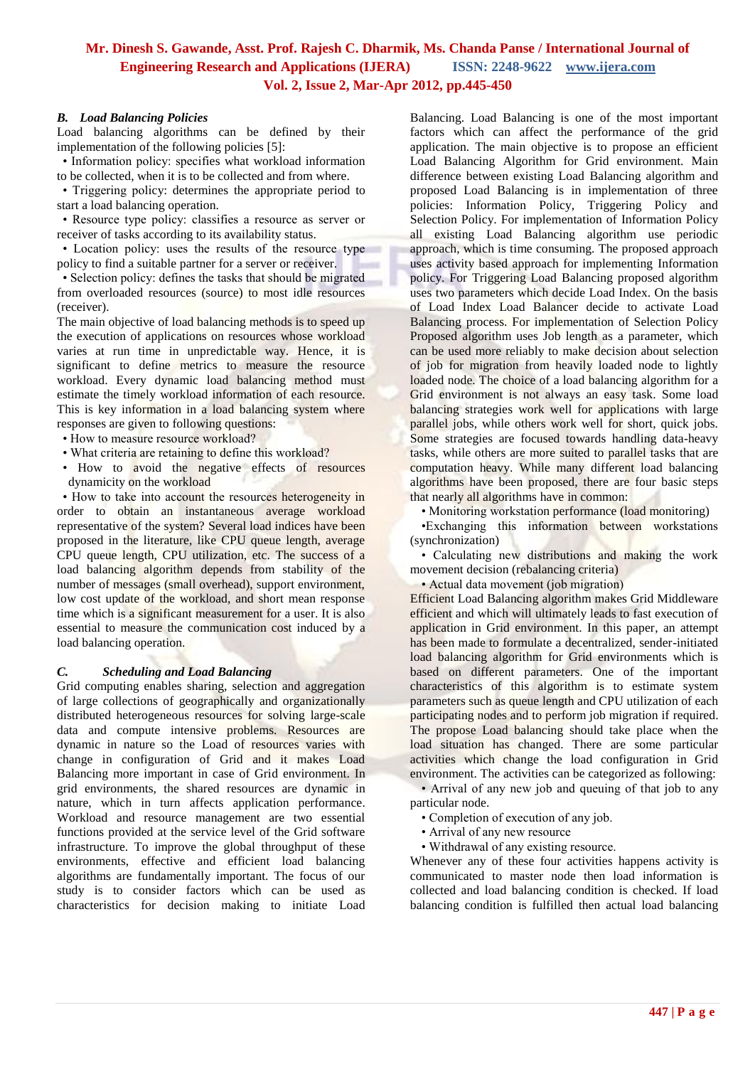#### *B. Load Balancing Policies*

Load balancing algorithms can be defined by their implementation of the following policies [5]:

• Information policy: specifies what workload information

to be collected, when it is to be collected and from where. • Triggering policy: determines the appropriate period to start a load balancing operation.

• Resource type policy: classifies a resource as server or receiver of tasks according to its availability status.

• Location policy: uses the results of the resource type policy to find a suitable partner for a server or receiver.

• Selection policy: defines the tasks that should be migrated from overloaded resources (source) to most idle resources (receiver).

The main objective of load balancing methods is to speed up the execution of applications on resources whose workload varies at run time in unpredictable way. Hence, it is significant to define metrics to measure the resource workload. Every dynamic load balancing method must estimate the timely workload information of each resource. This is key information in a load balancing system where responses are given to following questions:

• How to measure resource workload?

- What criteria are retaining to define this workload?
- How to avoid the negative effects of resources dynamicity on the workload

• How to take into account the resources heterogeneity in order to obtain an instantaneous average workload representative of the system? Several load indices have been proposed in the literature, like CPU queue length, average CPU queue length, CPU utilization, etc. The success of a load balancing algorithm depends from stability of the number of messages (small overhead), support environment, low cost update of the workload, and short mean response time which is a significant measurement for a user. It is also essential to measure the communication cost induced by a load balancing operation.

#### *C. Scheduling and Load Balancing*

Grid computing enables sharing, selection and aggregation of large collections of geographically and organizationally distributed heterogeneous resources for solving large-scale data and compute intensive problems. Resources are dynamic in nature so the Load of resources varies with change in configuration of Grid and it makes Load Balancing more important in case of Grid environment. In grid environments, the shared resources are dynamic in nature, which in turn affects application performance. Workload and resource management are two essential functions provided at the service level of the Grid software infrastructure. To improve the global throughput of these environments, effective and efficient load balancing algorithms are fundamentally important. The focus of our study is to consider factors which can be used as characteristics for decision making to initiate Load

Balancing. Load Balancing is one of the most important factors which can affect the performance of the grid application. The main objective is to propose an efficient Load Balancing Algorithm for Grid environment. Main difference between existing Load Balancing algorithm and proposed Load Balancing is in implementation of three policies: Information Policy, Triggering Policy and Selection Policy. For implementation of Information Policy all existing Load Balancing algorithm use periodic approach, which is time consuming. The proposed approach uses activity based approach for implementing Information policy. For Triggering Load Balancing proposed algorithm uses two parameters which decide Load Index. On the basis of Load Index Load Balancer decide to activate Load Balancing process. For implementation of Selection Policy Proposed algorithm uses Job length as a parameter, which can be used more reliably to make decision about selection of job for migration from heavily loaded node to lightly loaded node. The choice of a load balancing algorithm for a Grid environment is not always an easy task. Some load balancing strategies work well for applications with large parallel jobs, while others work well for short, quick jobs. Some strategies are focused towards handling data-heavy tasks, while others are more suited to parallel tasks that are computation heavy. While many different load balancing algorithms have been proposed, there are four basic steps that nearly all algorithms have in common:

• Monitoring workstation performance (load monitoring)

•Exchanging this information between workstations (synchronization)

• Calculating new distributions and making the work movement decision (rebalancing criteria)

• Actual data movement (job migration)

Efficient Load Balancing algorithm makes Grid Middleware efficient and which will ultimately leads to fast execution of application in Grid environment. In this paper, an attempt has been made to formulate a decentralized, sender-initiated load balancing algorithm for Grid environments which is based on different parameters. One of the important characteristics of this algorithm is to estimate system parameters such as queue length and CPU utilization of each participating nodes and to perform job migration if required. The propose Load balancing should take place when the load situation has changed. There are some particular activities which change the load configuration in Grid environment. The activities can be categorized as following:

• Arrival of any new job and queuing of that job to any particular node.

- Completion of execution of any job.
- Arrival of any new resource
- Withdrawal of any existing resource.

Whenever any of these four activities happens activity is communicated to master node then load information is collected and load balancing condition is checked. If load balancing condition is fulfilled then actual load balancing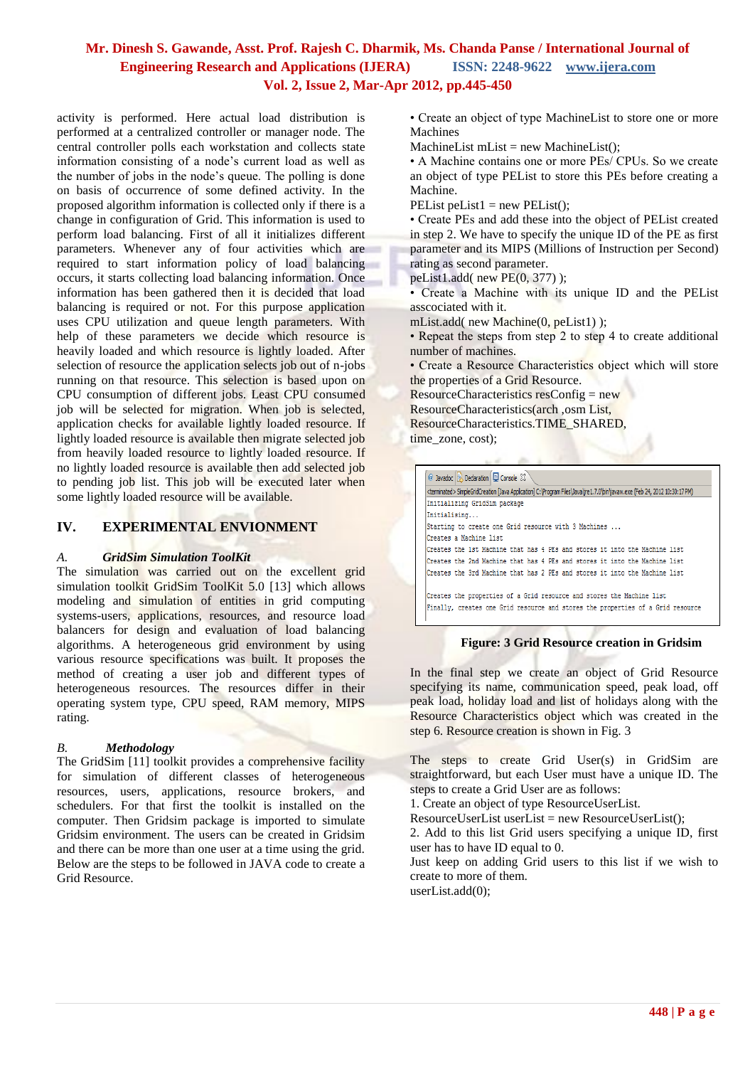activity is performed. Here actual load distribution is performed at a centralized controller or manager node. The central controller polls each workstation and collects state information consisting of a node's current load as well as the number of jobs in the node's queue. The polling is done on basis of occurrence of some defined activity. In the proposed algorithm information is collected only if there is a change in configuration of Grid. This information is used to perform load balancing. First of all it initializes different parameters. Whenever any of four activities which are required to start information policy of load balancing occurs, it starts collecting load balancing information. Once information has been gathered then it is decided that load balancing is required or not. For this purpose application uses CPU utilization and queue length parameters. With help of these parameters we decide which resource is heavily loaded and which resource is lightly loaded. After selection of resource the application selects job out of n-jobs running on that resource. This selection is based upon on CPU consumption of different jobs. Least CPU consumed job will be selected for migration. When job is selected, application checks for available lightly loaded resource. If lightly loaded resource is available then migrate selected job from heavily loaded resource to lightly loaded resource. If no lightly loaded resource is available then add selected job to pending job list. This job will be executed later when some lightly loaded resource will be available.

### **IV. EXPERIMENTAL ENVIONMENT**

#### *A. GridSim Simulation ToolKit*

The simulation was carried out on the excellent grid simulation toolkit GridSim ToolKit 5.0 [13] which allows modeling and simulation of entities in grid computing systems-users, applications, resources, and resource load balancers for design and evaluation of load balancing algorithms. A heterogeneous grid environment by using various resource specifications was built. It proposes the method of creating a user job and different types of heterogeneous resources. The resources differ in their operating system type, CPU speed, RAM memory, MIPS rating.

#### *B. Methodology*

The GridSim [11] toolkit provides a comprehensive facility for simulation of different classes of heterogeneous resources, users, applications, resource brokers, and schedulers. For that first the toolkit is installed on the computer. Then Gridsim package is imported to simulate Gridsim environment. The users can be created in Gridsim and there can be more than one user at a time using the grid. Below are the steps to be followed in JAVA code to create a Grid Resource.

• Create an object of type MachineList to store one or more Machines

 $MachineList$  mList = new MachineList();

• A Machine contains one or more PEs/ CPUs. So we create an object of type PEList to store this PEs before creating a Machine.

PEList peList $1 = new$  PEList $()$ ;

• Create PEs and add these into the object of PEList created in step 2. We have to specify the unique ID of the PE as first parameter and its MIPS (Millions of Instruction per Second) rating as second parameter.

peList1.add( new PE(0, 377) );

• Create a Machine with its unique ID and the PEList asscociated with it.

mList.add( new Machine(0, peList1) );

• Repeat the steps from step 2 to step 4 to create additional number of machines.

• Create a Resource Characteristics object which will store the properties of a Grid Resource.

ResourceCharacteristics resConfig = new ResourceCharacteristics(arch ,osm List, ResourceCharacteristics.TIME\_SHARED, time\_zone, cost);

| <terminated> SimpleGridCreation [Java Application] C:\Program Files\Java\jre1.7.0\bin\javaw.exe (Feb 24, 2012 10:30:17 PM)</terminated> |  |  |  |  |  |                                                                            |  |
|-----------------------------------------------------------------------------------------------------------------------------------------|--|--|--|--|--|----------------------------------------------------------------------------|--|
| Initializing GridSim package                                                                                                            |  |  |  |  |  |                                                                            |  |
| Initialising                                                                                                                            |  |  |  |  |  |                                                                            |  |
| Starting to create one Grid resource with 3 Machines                                                                                    |  |  |  |  |  |                                                                            |  |
| Creates a Machine list                                                                                                                  |  |  |  |  |  |                                                                            |  |
| Creates the 1st Machine that has 4 PEs and stores it into the Machine list                                                              |  |  |  |  |  |                                                                            |  |
| Creates the 2nd Machine that has 4 PEs and stores it into the Machine list                                                              |  |  |  |  |  |                                                                            |  |
|                                                                                                                                         |  |  |  |  |  | Creates the 3rd Machine that has 2 PEs and stores it into the Machine list |  |

#### **Figure: 3 Grid Resource creation in Gridsim**

In the final step we create an object of Grid Resource specifying its name, communication speed, peak load, off peak load, holiday load and list of holidays along with the Resource Characteristics object which was created in the step 6. Resource creation is shown in Fig. 3

The steps to create Grid User(s) in GridSim are straightforward, but each User must have a unique ID. The steps to create a Grid User are as follows:

1. Create an object of type ResourceUserList.

 $ResourceUserList userList = new ResourceUserList();$ 

2. Add to this list Grid users specifying a unique ID, first user has to have ID equal to 0.

Just keep on adding Grid users to this list if we wish to create to more of them.

userList.add(0);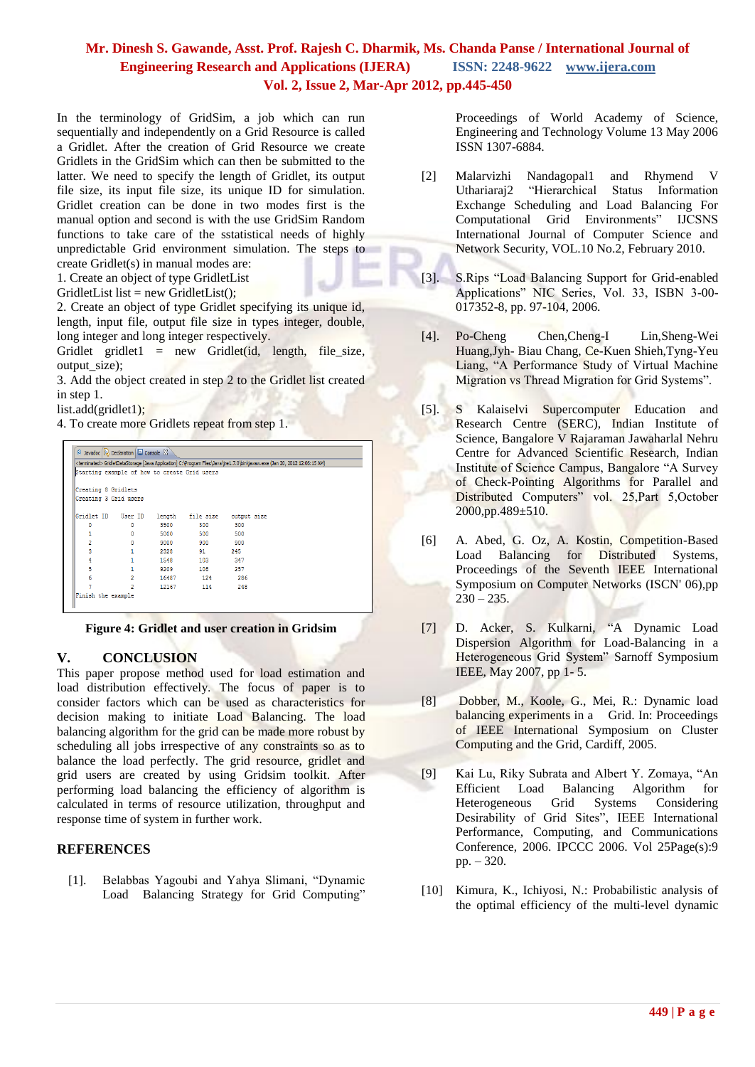In the terminology of GridSim, a job which can run sequentially and independently on a Grid Resource is called a Gridlet. After the creation of Grid Resource we create Gridlets in the GridSim which can then be submitted to the latter. We need to specify the length of Gridlet, its output file size, its input file size, its unique ID for simulation. Gridlet creation can be done in two modes first is the manual option and second is with the use GridSim Random functions to take care of the sstatistical needs of highly unpredictable Grid environment simulation. The steps to create Gridlet(s) in manual modes are:

1. Create an object of type GridletList

GridletList list = new GridletList $(i)$ ;

2. Create an object of type Gridlet specifying its unique id, length, input file, output file size in types integer, double, long integer and long integer respectively.

Gridlet gridlet1 = new Gridlet(id, length, file\_size, output\_size);

3. Add the object created in step 2 to the Gridlet list created in step 1.

list.add(gridlet1);

4. To create more Gridlets repeat from step 1.

|                                              |                |       |                              |     | <terminated> GridletDataStorage [Java Application] C:\Program Files\Java\ire1.7.0\bin\javaw.exe (Jan 20, 2012 12:06:15 AM)</terminated> |
|----------------------------------------------|----------------|-------|------------------------------|-----|-----------------------------------------------------------------------------------------------------------------------------------------|
| Starting example of how to create Grid users |                |       |                              |     |                                                                                                                                         |
| Creating 8 Gridlets                          |                |       |                              |     |                                                                                                                                         |
| Creating 3 Grid users                        |                |       |                              |     |                                                                                                                                         |
|                                              |                |       |                              |     |                                                                                                                                         |
| Gridlet ID User ID                           |                |       | length file size output size |     |                                                                                                                                         |
| 0                                            | 0              | 3500  | 300                          | 300 |                                                                                                                                         |
|                                              | $\bullet$      |       | 5000 500 500                 |     |                                                                                                                                         |
| $\overline{ }$                               | 0              |       | 9000 900 900                 |     |                                                                                                                                         |
| 3                                            | 1              |       | 2328 91                      | 245 |                                                                                                                                         |
| 4                                            | $\mathbf{1}$   |       | 1548 103                     | 347 |                                                                                                                                         |
| 5                                            | $\mathbf{1}$   |       | 9209 108                     | 257 |                                                                                                                                         |
| 6                                            | $\overline{2}$ | 16487 | 124 286                      |     |                                                                                                                                         |
|                                              | $\overline{2}$ | 12167 | 114                          | 248 |                                                                                                                                         |

**Figure 4: Gridlet and user creation in Gridsim**

### **V. CONCLUSION**

This paper propose method used for load estimation and load distribution effectively. The focus of paper is to consider factors which can be used as characteristics for decision making to initiate Load Balancing. The load balancing algorithm for the grid can be made more robust by scheduling all jobs irrespective of any constraints so as to balance the load perfectly. The grid resource, gridlet and grid users are created by using Gridsim toolkit. After performing load balancing the efficiency of algorithm is calculated in terms of resource utilization, throughput and response time of system in further work.

### **REFERENCES**

[1]. Belabbas Yagoubi and Yahya Slimani, "Dynamic Load Balancing Strategy for Grid Computing"

Proceedings of World Academy of Science, Engineering and Technology Volume 13 May 2006 ISSN 1307-6884.

- [2] Malarvizhi Nandagopal1 and Rhymend V Uthariaraj2 "Hierarchical Status Information Exchange Scheduling and Load Balancing For Computational Grid Environments" IJCSNS International Journal of Computer Science and Network Security, VOL.10 No.2, February 2010.
- [3]. S.Rips "Load Balancing Support for Grid-enabled Applications" NIC Series, Vol. 33, ISBN 3-00- 017352-8, pp. 97-104, 2006.
- [4]. Po-Cheng Chen,Cheng-I Lin,Sheng-Wei Huang,Jyh- Biau Chang, Ce-Kuen Shieh,Tyng-Yeu Liang, "A Performance Study of Virtual Machine Migration vs Thread Migration for Grid Systems".
- [5]. S Kalaiselvi Supercomputer Education and Research Centre (SERC), Indian Institute of Science, Bangalore V Rajaraman Jawaharlal Nehru Centre for Advanced Scientific Research, Indian Institute of Science Campus, Bangalore "A Survey of Check-Pointing Algorithms for Parallel and Distributed Computers" vol. 25,Part 5,October 2000,pp.489±510.
- [6] A. Abed, G. Oz, A. Kostin, Competition-Based Load Balancing for Distributed Systems, Proceedings of the Seventh IEEE International Symposium on Computer Networks (ISCN' 06),pp  $230 - 235.$
- [7] D. Acker, S. Kulkarni, "A Dynamic Load Dispersion Algorithm for Load-Balancing in a Heterogeneous Grid System" Sarnoff Symposium IEEE, May 2007, pp 1- 5.
- [8] Dobber, M., Koole, G., Mei, R.: Dynamic load balancing experiments in a Grid. In: Proceedings of IEEE International Symposium on Cluster Computing and the Grid, Cardiff, 2005.
- [9] Kai Lu, Riky Subrata and Albert Y. Zomaya, "An Efficient Load Balancing Algorithm for Heterogeneous Grid Systems Considering Desirability of Grid Sites", IEEE International Performance, Computing, and Communications Conference, 2006. IPCCC 2006. Vol 25Page(s):9 pp. – 320.
- [10] Kimura, K., Ichiyosi, N.: Probabilistic analysis of the optimal efficiency of the multi-level dynamic